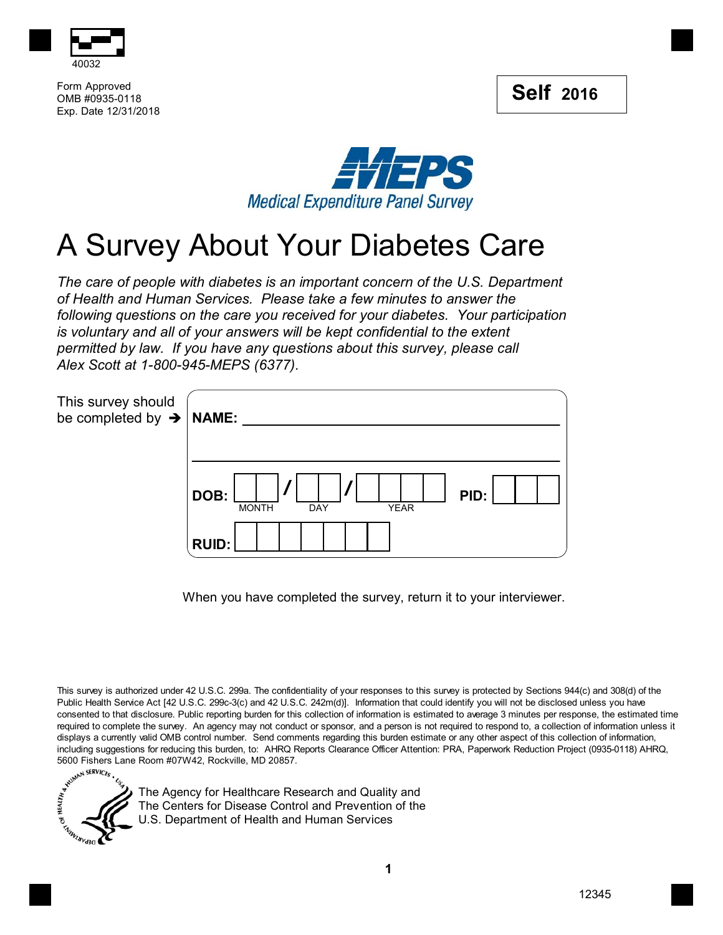



Form Approved OMB #0935-0118 Exp. Date 12/31/2018



## A Survey About Your Diabetes Care

*The care of people with diabetes is an important concern of the U.S. Department of Health and Human Services. Please take a few minutes to answer the following questions on the care you received for your diabetes. Your participation is voluntary and all of your answers will be kept confidential to the extent permitted by law. If you have any questions about this survey, please call Alex Scott at 1-800-945-MEPS (6377).*

| This survey should<br>be completed by $\rightarrow$ NAME: |                                                           |
|-----------------------------------------------------------|-----------------------------------------------------------|
|                                                           | DOB:<br>PID:<br><b>YEAR</b><br><b>MONTH</b><br><b>DAY</b> |
|                                                           | <b>RUID:</b>                                              |

When you have completed the survey, return it to your interviewer.

This survey is authorized under 42 U.S.C. 299a. The confidentiality of your responses to this survey is protected by Sections 944(c) and 308(d) of the Public Health Service Act [42 U.S.C. 299c-3(c) and 42 U.S.C. 242m(d)]. Information that could identify you will not be disclosed unless you have consented to that disclosure. Public reporting burden for this collection of information is estimated to average 3 minutes per response, the estimated time required to complete the survey. An agency may not conduct or sponsor, and a person is not required to respond to, a collection of information unless it displays a currently valid OMB control number. Send comments regarding this burden estimate or any other aspect of this collection of information, including suggestions for reducing this burden, to: AHRQ Reports Clearance including suggestions for reducing this burden, to: AHRQ Reports Clearance Officer Attention: PRA, Paperwork Reduction Project (0935-0118) AHRQ, 5600 Fishers Lane Room #07W42, Rockville, MD 20857.



The Agency for Healthcare Research and Quality and The Centers for Disease Control and Prevention of the U.S. Department of Health and Human Services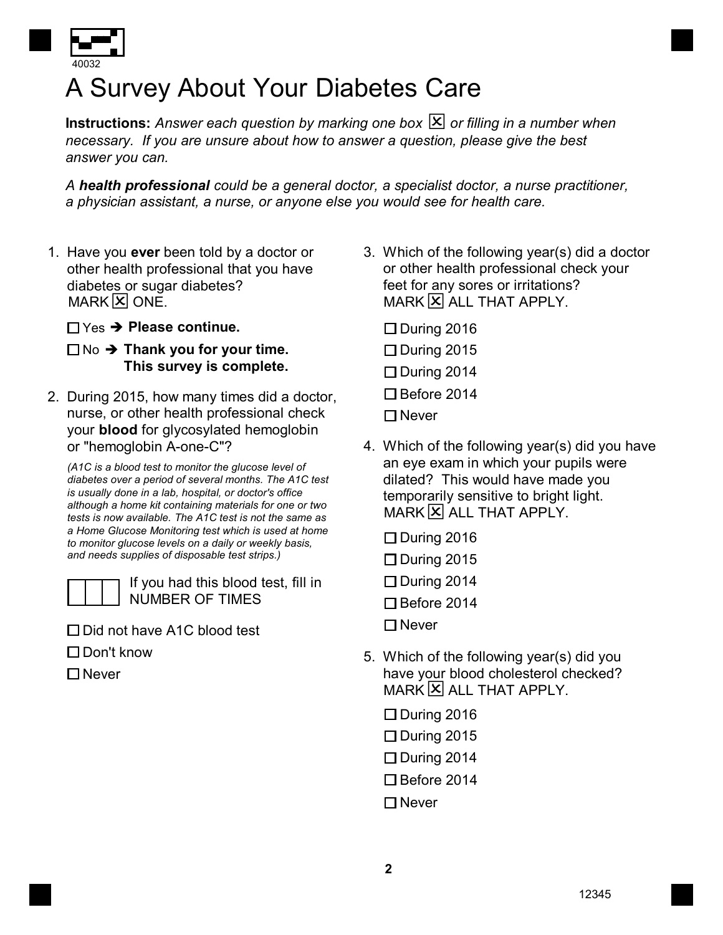

## A Survey About Your Diabetes Care

 ${\sf Instructions:}$  Answer each question by marking one box  $[\mathbf{X}]$  or filling in a number when *necessary. If you are unsure about how to answer a question, please give the best answer you can.*

*A health professional could be a general doctor, a specialist doctor, a nurse practitioner, a physician assistant, a nurse, or anyone else you would see for health care.*

- 1. Have you **ever** been told by a doctor or other health professional that you have diabetes or sugar diabetes?<br>MARK  $\overline{X}$  ONE.
	- Yes **Please continue.**

## No **→ Thank you for your time. This survey is complete.**

2. During 2015, how many times did a doctor, nurse, or other health professional check your **blood** for glycosylated hemoglobin or "hemoglobin A-one-C"?

*(A1C is a blood test to monitor the glucose level of diabetes over a period of several months. The A1C test is usually done in a lab, hospital, or doctor's office although a home kit containing materials for one or two tests is now available. The A1C test is not the same as a Home Glucose Monitoring test which is used at home to monitor glucose levels on a daily or weekly basis, and needs supplies of disposable test strips.)*



If you had this blood test, fill in NUMBER OF TIMES

- □ Did not have A1C blood test
- $\Box$  Don't know
- $\Box$  Never
- 3. Which of the following year(s) did a doctor or other health professional check your feet for any sores or irritations?  $MARY$  ALL THAT APPLY.
	- $\square$  During 2016
	- $\square$  During 2015
	- $\Box$  During 2014
	- $\Box$  Before 2014
	- $\Box$  Never
- 4. Which of the following year(s) did you have an eye exam in which your pupils were dilated? This would have made you temporarily sensitive to bright light.  $MARK$   $X$  all that APPLY.
	- $\square$  During 2016  $\square$  During 2015
	- $\Box$  During 2014
	- □ Before 2014
	- $\Box$  Never
- 5. Which of the following year(s) did you have your blood cholesterol checked?  $MARY$  ALL THAT APPLY.
	- $\square$  During 2016
	- $\Box$  During 2015
	- $\square$  During 2014
	- □ Before 2014
	- $\Box$  Never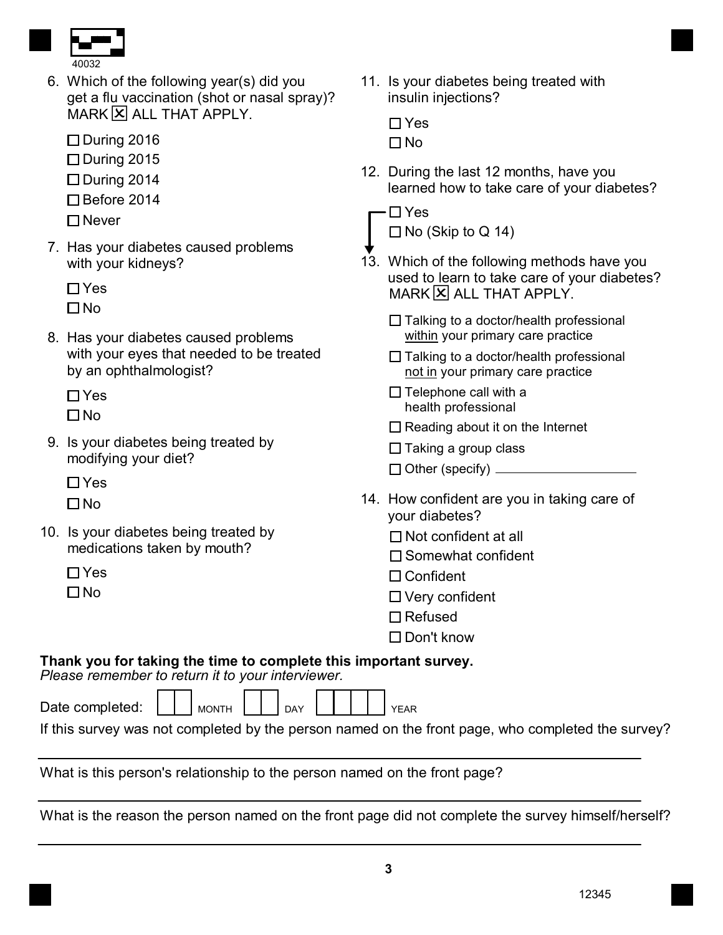

6. Which of the following year(s) did you get a flu vaccination (shot or nasal spray)? MARK X ALL THAT APPLY.

 $\Box$  During 2016

- $\square$  During 2015
- $\Box$  During 2014
- □ Before 2014
- □ Never
- 7. Has your diabetes caused problems with your kidneys?

□ Yes

 $\Box$  No

8. Has your diabetes caused problems with your eyes that needed to be treated by an ophthalmologist?

 $\Box$  Yes

 $\Box$ No

9. Is your diabetes being treated by modifying your diet?

 $\Box$  Yes

 $\Box$  No

10. Is your diabetes being treated by medications taken by mouth?

 $\Box$  Yes

 $\Box$  No

11. Is your diabetes being treated with insulin injections?

| $\Box$ Y | $\hat{\phantom{0}}$<br>۹ |
|----------|--------------------------|
| I T N    | n                        |

12. During the last 12 months, have you learned how to take care of your diabetes?

 $\Box$  No (Skip to Q 14)

- 13. Which of the following methods have you used to learn to take care of your diabetes?  $MARY$  ALL THAT APPLY.
	- $\Box$  Talking to a doctor/health professional within your primary care practice
	- $\Box$  Talking to a doctor/health professional not in your primary care practice
	- $\Box$  Telephone call with a health professional
	- $\Box$  Reading about it on the Internet
	- $\Box$  Taking a group class
	- □ Other (specify) <u>\_\_\_\_\_\_\_\_\_\_\_\_\_\_\_\_\_\_\_</u>
- 14. How confident are you in taking care of your diabetes?
	- $\Box$  Not confident at all
	- $\square$  Somewhat confident
	- □ Confident
	- Very confident
	- $\Box$  Refused
	- □ Don't know

## **Thank you for taking the time to complete this important survey.**

*Please remember to return it to your interviewer.*

| Date completed: |  | <b>MONTH</b> |  | DAY |  |  | YFAR |
|-----------------|--|--------------|--|-----|--|--|------|
|                 |  |              |  |     |  |  |      |

|  |  |  | If this survey was not completed by the person named on the front page, who completed the survey? |
|--|--|--|---------------------------------------------------------------------------------------------------|
|  |  |  |                                                                                                   |
|  |  |  |                                                                                                   |
|  |  |  |                                                                                                   |

What is this person's relationship to the person named on the front page?

What is the reason the person named on the front page did not complete the survey himself/herself?